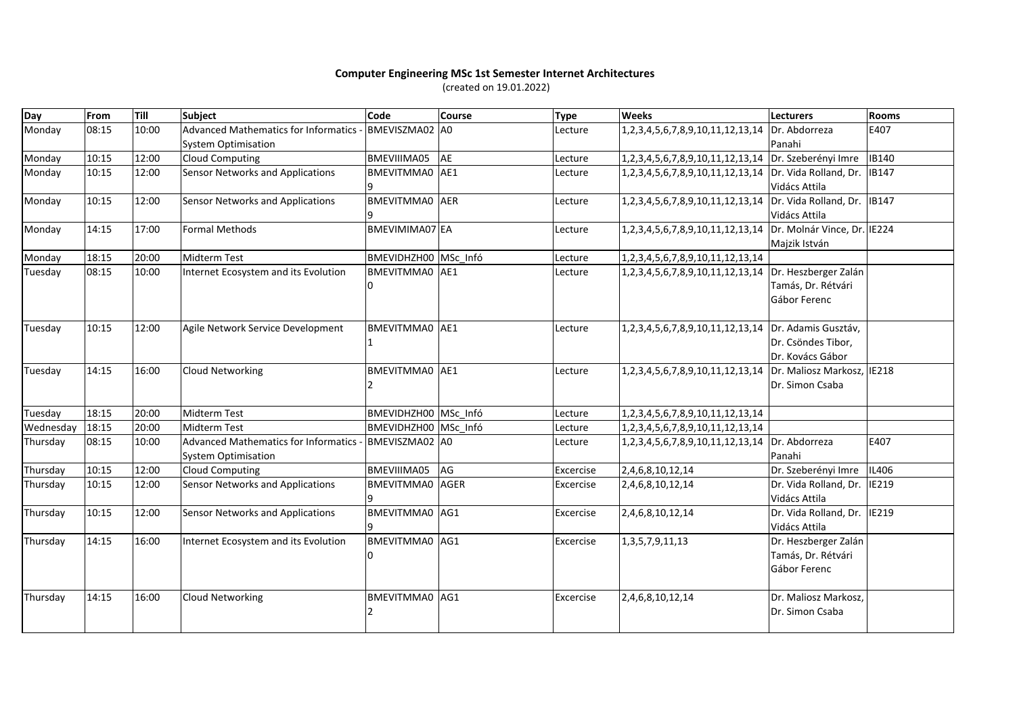## **Computer Engineering MSc 1st Semester Internet Architectures**(created on 19.01.2022)

| Day       | From  | Till  | Subject                                                                   | Code                              | <b>Course</b> | <b>Type</b> | <b>Weeks</b>                                  | <b>Lecturers</b>                                              | Rooms        |
|-----------|-------|-------|---------------------------------------------------------------------------|-----------------------------------|---------------|-------------|-----------------------------------------------|---------------------------------------------------------------|--------------|
| Monday    | 08:15 | 10:00 | <b>Advanced Mathematics for Informatics</b><br><b>System Optimisation</b> | BMEVISZMA02 A0                    |               | Lecture     | 1,2,3,4,5,6,7,8,9,10,11,12,13,14              | Dr. Abdorreza<br>Panahi                                       | E407         |
| Monday    | 10:15 | 12:00 | <b>Cloud Computing</b>                                                    | BMEVIIIMA05                       | AE            | Lecture     | 1,2,3,4,5,6,7,8,9,10,11,12,13,14              | Dr. Szeberényi Imre                                           | <b>IB140</b> |
| Monday    | 10:15 | 12:00 | Sensor Networks and Applications                                          | BMEVITMMA0 AE1                    |               | Lecture     | 1,2,3,4,5,6,7,8,9,10,11,12,13,14              | Dr. Vida Rolland, Dr.<br>Vidács Attila                        | IB147        |
| Monday    | 10:15 | 12:00 | Sensor Networks and Applications                                          | <b>BMEVITMMA0</b> AER             |               | Lecture     | 1, 2, 3, 4, 5, 6, 7, 8, 9, 10, 11, 12, 13, 14 | Dr. Vida Rolland, Dr.<br>Vidács Attila                        | IB147        |
| Monday    | 14:15 | 17:00 | <b>Formal Methods</b>                                                     | BMEVIMIMA07 EA                    |               | Lecture     | 1,2,3,4,5,6,7,8,9,10,11,12,13,14              | Dr. Molnár Vince, Dr. IE224<br>Majzik István                  |              |
| Monday    | 18:15 | 20:00 | <b>Midterm Test</b>                                                       | BMEVIDHZH00 MSc Infó              |               | Lecture     | 1,2,3,4,5,6,7,8,9,10,11,12,13,14              |                                                               |              |
| Tuesday   | 08:15 | 10:00 | Internet Ecosystem and its Evolution                                      | BMEVITMMA0 AE1<br>0               |               | Lecture     | 1,2,3,4,5,6,7,8,9,10,11,12,13,14              | Dr. Heszberger Zalán<br>Tamás, Dr. Rétvári<br>Gábor Ferenc    |              |
| Tuesday   | 10:15 | 12:00 | Agile Network Service Development                                         | <b>BMEVITMMA0</b> AE1             |               | Lecture     | 1,2,3,4,5,6,7,8,9,10,11,12,13,14              | Dr. Adamis Gusztáv,<br>Dr. Csöndes Tibor,<br>Dr. Kovács Gábor |              |
| Tuesday   | 14:15 | 16:00 | <b>Cloud Networking</b>                                                   | BMEVITMMA0 AE1                    |               | Lecture     | 1,2,3,4,5,6,7,8,9,10,11,12,13,14              | Dr. Maliosz Markosz,<br>Dr. Simon Csaba                       | <b>IE218</b> |
| Tuesday   | 18:15 | 20:00 | Midterm Test                                                              | BMEVIDHZH00 MSc Infó              |               | Lecture     | 1, 2, 3, 4, 5, 6, 7, 8, 9, 10, 11, 12, 13, 14 |                                                               |              |
| Wednesday | 18:15 | 20:00 | <b>Midterm Test</b>                                                       | BMEVIDHZH00 MSc Infó              |               | Lecture     | 1,2,3,4,5,6,7,8,9,10,11,12,13,14              |                                                               |              |
| Thursday  | 08:15 | 10:00 | <b>Advanced Mathematics for Informatics</b><br><b>System Optimisation</b> | BMEVISZMA02 A0                    |               | Lecture     | 1,2,3,4,5,6,7,8,9,10,11,12,13,14              | Dr. Abdorreza<br>Panahi                                       | E407         |
| Thursday  | 10:15 | 12:00 | <b>Cloud Computing</b>                                                    | <b>BMEVIIIMA05</b>                | AG            | Excercise   | 2,4,6,8,10,12,14                              | Dr. Szeberényi Imre                                           | IL406        |
| Thursday  | 10:15 | 12:00 | <b>Sensor Networks and Applications</b>                                   | BMEVITMMA0 AGER                   |               | Excercise   | 2,4,6,8,10,12,14                              | Dr. Vida Rolland, Dr.<br>Vidács Attila                        | IE219        |
| Thursday  | 10:15 | 12:00 | <b>Sensor Networks and Applications</b>                                   | <b>BMEVITMMA0</b> AG1             |               | Excercise   | 2,4,6,8,10,12,14                              | Dr. Vida Rolland, Dr.<br>Vidács Attila                        | <b>IE219</b> |
| Thursday  | 14:15 | 16:00 | Internet Ecosystem and its Evolution                                      | <b>BMEVITMMA0</b> AG1<br>$\Omega$ |               | Excercise   | 1, 3, 5, 7, 9, 11, 13                         | Dr. Heszberger Zalán<br>Tamás, Dr. Rétvári<br>Gábor Ferenc    |              |
| Thursday  | 14:15 | 16:00 | <b>Cloud Networking</b>                                                   | BMEVITMMA0 AG1                    |               | Excercise   | 2,4,6,8,10,12,14                              | Dr. Maliosz Markosz<br>Dr. Simon Csaba                        |              |